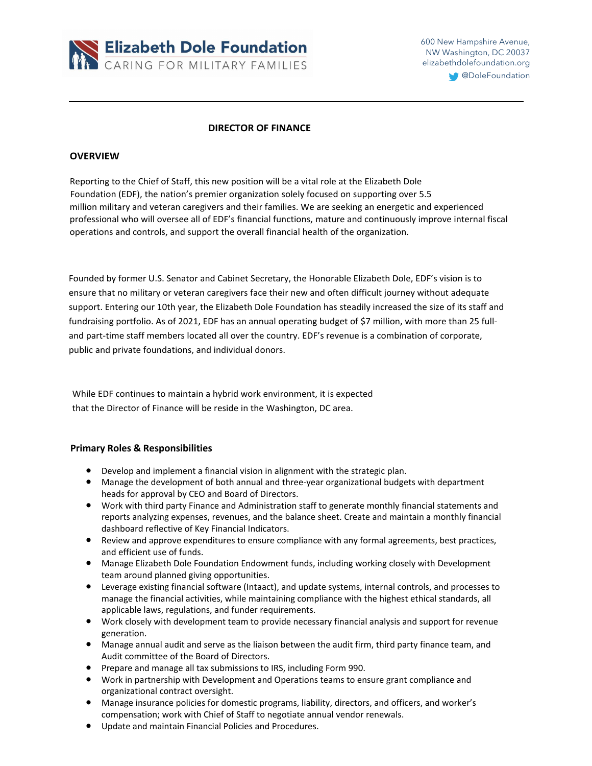

600 New Hampshire Avenue, NW Washington, DC 20037 elizabethdolefoundation.org

**CODDIEFoundation** 

## **DIRECTOR OF FINANCE**

### **OVERVIEW**

Reporting to the Chief of Staff, this new position will be a vital role at the Elizabeth Dole Foundation (EDF), the nation's premier organization solely focused on supporting over 5.5 million military and veteran caregivers and their families. We are seeking an energetic and experienced professional who will oversee all of EDF's financial functions, mature and continuously improve internal fiscal operations and controls, and support the overall financial health of the organization.

Founded by former U.S. Senator and Cabinet Secretary, the Honorable Elizabeth Dole, EDF's vision is to ensure that no military or veteran caregivers face their new and often difficult journey without adequate support. Entering our 10th year, the Elizabeth Dole Foundation has steadily increased the size of its staff and fundraising portfolio. As of 2021, EDF has an annual operating budget of \$7 million, with more than 25 fulland part-time staff members located all over the country. EDF's revenue is a combination of corporate, public and private foundations, and individual donors.

While EDF continues to maintain a hybrid work environment, it is expected that the Director of Finance will be reside in the Washington, DC area.

### **Primary Roles & Responsibilities**

- Develop and implement a financial vision in alignment with the strategic plan.
- Manage the development of both annual and three-year organizational budgets with department heads for approval by CEO and Board of Directors.
- Work with third party Finance and Administration staff to generate monthly financial statements and reports analyzing expenses, revenues, and the balance sheet. Create and maintain a monthly financial dashboard reflective of Key Financial Indicators.
- Review and approve expenditures to ensure compliance with any formal agreements, best practices, and efficient use of funds.
- Manage Elizabeth Dole Foundation Endowment funds, including working closely with Development team around planned giving opportunities.
- Leverage existing financial software (Intaact), and update systems, internal controls, and processes to manage the financial activities, while maintaining compliance with the highest ethical standards, all applicable laws, regulations, and funder requirements.
- Work closely with development team to provide necessary financial analysis and support for revenue generation.
- Manage annual audit and serve as the liaison between the audit firm, third party finance team, and Audit committee of the Board of Directors.
- Prepare and manage all tax submissions to IRS, including Form 990.
- Work in partnership with Development and Operations teams to ensure grant compliance and organizational contract oversight.
- Manage insurance policies for domestic programs, liability, directors, and officers, and worker's compensation; work with Chief of Staff to negotiate annual vendor renewals.
- Update and maintain Financial Policies and Procedures.